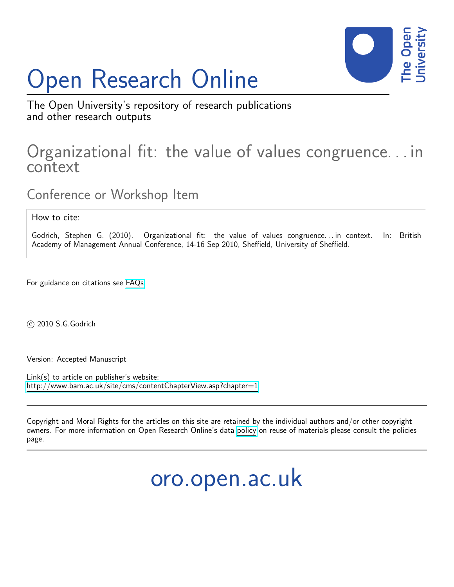# Open Research Online



The Open University's repository of research publications and other research outputs

# Organizational fit: the value of values congruence. . . in context

Conference or Workshop Item

How to cite:

Godrich, Stephen G. (2010). Organizational fit: the value of values congruence... in context. In: British Academy of Management Annual Conference, 14-16 Sep 2010, Sheffield, University of Sheffield.

For guidance on citations see [FAQs.](http://oro.open.ac.uk/help/helpfaq.html)

c 2010 S.G.Godrich

Version: Accepted Manuscript

Link(s) to article on publisher's website: <http://www.bam.ac.uk/site/cms/contentChapterView.asp?chapter=1>

Copyright and Moral Rights for the articles on this site are retained by the individual authors and/or other copyright owners. For more information on Open Research Online's data [policy](http://oro.open.ac.uk/policies.html) on reuse of materials please consult the policies page.

oro.open.ac.uk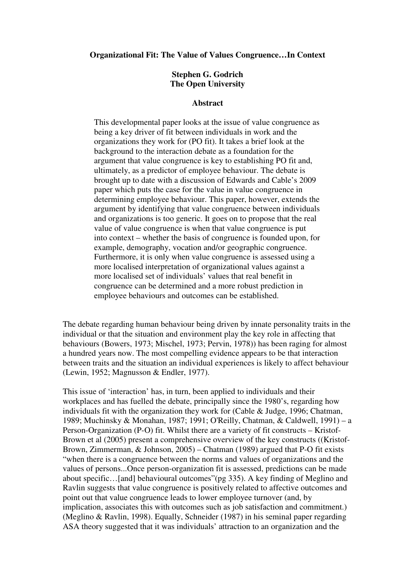#### **Organizational Fit: The Value of Values Congruence…In Context**

### **Stephen G. Godrich The Open University**

#### **Abstract**

This developmental paper looks at the issue of value congruence as being a key driver of fit between individuals in work and the organizations they work for (PO fit). It takes a brief look at the background to the interaction debate as a foundation for the argument that value congruence is key to establishing PO fit and, ultimately, as a predictor of employee behaviour. The debate is brought up to date with a discussion of Edwards and Cable's 2009 paper which puts the case for the value in value congruence in determining employee behaviour. This paper, however, extends the argument by identifying that value congruence between individuals and organizations is too generic. It goes on to propose that the real value of value congruence is when that value congruence is put into context – whether the basis of congruence is founded upon, for example, demography, vocation and/or geographic congruence. Furthermore, it is only when value congruence is assessed using a more localised interpretation of organizational values against a more localised set of individuals' values that real benefit in congruence can be determined and a more robust prediction in employee behaviours and outcomes can be established.

The debate regarding human behaviour being driven by innate personality traits in the individual or that the situation and environment play the key role in affecting that behaviours (Bowers, 1973; Mischel, 1973; Pervin, 1978)) has been raging for almost a hundred years now. The most compelling evidence appears to be that interaction between traits and the situation an individual experiences is likely to affect behaviour (Lewin, 1952; Magnusson & Endler, 1977).

This issue of 'interaction' has, in turn, been applied to individuals and their workplaces and has fuelled the debate, principally since the 1980's, regarding how individuals fit with the organization they work for (Cable & Judge, 1996; Chatman, 1989; Muchinsky & Monahan, 1987; 1991; O'Reilly, Chatman, & Caldwell, 1991) – a Person-Organization (P-O) fit. Whilst there are a variety of fit constructs – Kristof-Brown et al (2005) present a comprehensive overview of the key constructs ((Kristof-Brown, Zimmerman, & Johnson, 2005) – Chatman (1989) argued that P-O fit exists "when there is a congruence between the norms and values of organizations and the values of persons...Once person-organization fit is assessed, predictions can be made about specific…[and] behavioural outcomes"(pg 335). A key finding of Meglino and Ravlin suggests that value congruence is positively related to affective outcomes and point out that value congruence leads to lower employee turnover (and, by implication, associates this with outcomes such as job satisfaction and commitment.) (Meglino & Ravlin, 1998). Equally, Schneider (1987) in his seminal paper regarding ASA theory suggested that it was individuals' attraction to an organization and the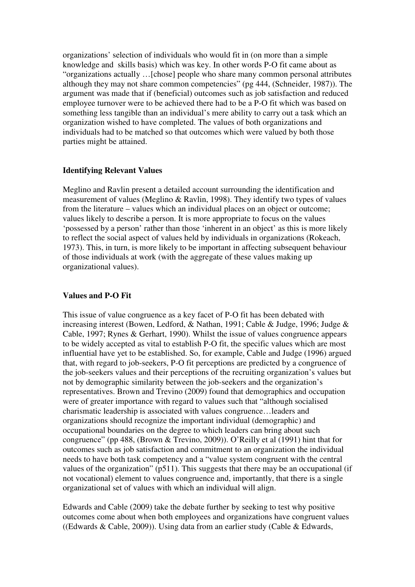organizations' selection of individuals who would fit in (on more than a simple knowledge and skills basis) which was key. In other words P-O fit came about as "organizations actually …[chose] people who share many common personal attributes although they may not share common competencies" (pg 444, (Schneider, 1987)). The argument was made that if (beneficial) outcomes such as job satisfaction and reduced employee turnover were to be achieved there had to be a P-O fit which was based on something less tangible than an individual's mere ability to carry out a task which an organization wished to have completed. The values of both organizations and individuals had to be matched so that outcomes which were valued by both those parties might be attained.

# **Identifying Relevant Values**

Meglino and Ravlin present a detailed account surrounding the identification and measurement of values (Meglino & Ravlin, 1998). They identify two types of values from the literature – values which an individual places on an object or outcome; values likely to describe a person. It is more appropriate to focus on the values 'possessed by a person' rather than those 'inherent in an object' as this is more likely to reflect the social aspect of values held by individuals in organizations (Rokeach, 1973). This, in turn, is more likely to be important in affecting subsequent behaviour of those individuals at work (with the aggregate of these values making up organizational values).

# **Values and P-O Fit**

This issue of value congruence as a key facet of P-O fit has been debated with increasing interest (Bowen, Ledford, & Nathan, 1991; Cable & Judge, 1996; Judge & Cable, 1997; Rynes & Gerhart, 1990). Whilst the issue of values congruence appears to be widely accepted as vital to establish P-O fit, the specific values which are most influential have yet to be established. So, for example, Cable and Judge (1996) argued that, with regard to job-seekers, P-O fit perceptions are predicted by a congruence of the job-seekers values and their perceptions of the recruiting organization's values but not by demographic similarity between the job-seekers and the organization's representatives. Brown and Trevino (2009) found that demographics and occupation were of greater importance with regard to values such that "although socialised charismatic leadership is associated with values congruence…leaders and organizations should recognize the important individual (demographic) and occupational boundaries on the degree to which leaders can bring about such congruence" (pp 488, (Brown & Trevino, 2009)). O'Reilly et al (1991) hint that for outcomes such as job satisfaction and commitment to an organization the individual needs to have both task competency and a "value system congruent with the central values of the organization" (p511). This suggests that there may be an occupational (if not vocational) element to values congruence and, importantly, that there is a single organizational set of values with which an individual will align.

Edwards and Cable (2009) take the debate further by seeking to test why positive outcomes come about when both employees and organizations have congruent values ((Edwards & Cable, 2009)). Using data from an earlier study (Cable & Edwards,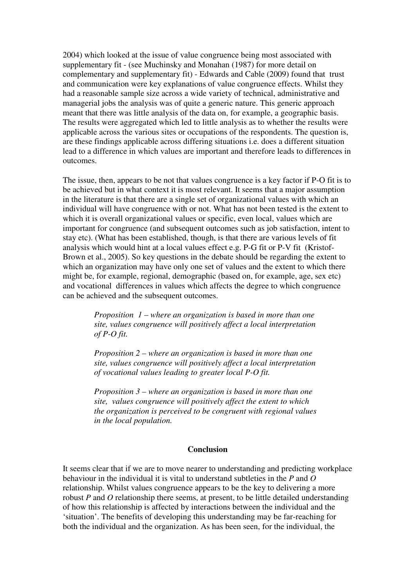2004) which looked at the issue of value congruence being most associated with supplementary fit - (see Muchinsky and Monahan (1987) for more detail on complementary and supplementary fit) - Edwards and Cable (2009) found that trust and communication were key explanations of value congruence effects. Whilst they had a reasonable sample size across a wide variety of technical, administrative and managerial jobs the analysis was of quite a generic nature. This generic approach meant that there was little analysis of the data on, for example, a geographic basis. The results were aggregated which led to little analysis as to whether the results were applicable across the various sites or occupations of the respondents. The question is, are these findings applicable across differing situations i.e. does a different situation lead to a difference in which values are important and therefore leads to differences in outcomes.

The issue, then, appears to be not that values congruence is a key factor if P-O fit is to be achieved but in what context it is most relevant. It seems that a major assumption in the literature is that there are a single set of organizational values with which an individual will have congruence with or not. What has not been tested is the extent to which it is overall organizational values or specific, even local, values which are important for congruence (and subsequent outcomes such as job satisfaction, intent to stay etc). (What has been established, though, is that there are various levels of fit analysis which would hint at a local values effect e.g. P-G fit or P-V fit (Kristof-Brown et al., 2005). So key questions in the debate should be regarding the extent to which an organization may have only one set of values and the extent to which there might be, for example, regional, demographic (based on, for example, age, sex etc) and vocational differences in values which affects the degree to which congruence can be achieved and the subsequent outcomes.

> *Proposition 1 – where an organization is based in more than one site, values congruence will positively affect a local interpretation of P-O fit.*

> *Proposition 2 – where an organization is based in more than one site, values congruence will positively affect a local interpretation of vocational values leading to greater local P-O fit.*

> *Proposition 3 – where an organization is based in more than one site, values congruence will positively affect the extent to which the organization is perceived to be congruent with regional values in the local population.*

#### **Conclusion**

It seems clear that if we are to move nearer to understanding and predicting workplace behaviour in the individual it is vital to understand subtleties in the *P* and *O* relationship. Whilst values congruence appears to be the key to delivering a more robust *P* and *O* relationship there seems, at present, to be little detailed understanding of how this relationship is affected by interactions between the individual and the 'situation'. The benefits of developing this understanding may be far-reaching for both the individual and the organization. As has been seen, for the individual, the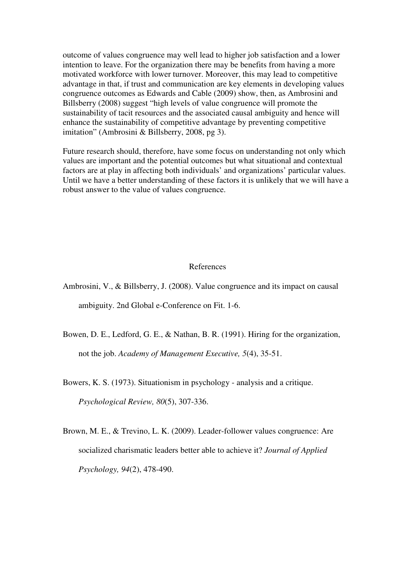outcome of values congruence may well lead to higher job satisfaction and a lower intention to leave. For the organization there may be benefits from having a more motivated workforce with lower turnover. Moreover, this may lead to competitive advantage in that, if trust and communication are key elements in developing values congruence outcomes as Edwards and Cable (2009) show, then, as Ambrosini and Billsberry (2008) suggest "high levels of value congruence will promote the sustainability of tacit resources and the associated causal ambiguity and hence will enhance the sustainability of competitive advantage by preventing competitive imitation" (Ambrosini & Billsberry, 2008, pg 3).

Future research should, therefore, have some focus on understanding not only which values are important and the potential outcomes but what situational and contextual factors are at play in affecting both individuals' and organizations' particular values. Until we have a better understanding of these factors it is unlikely that we will have a robust answer to the value of values congruence.

#### References

Ambrosini, V., & Billsberry, J. (2008). Value congruence and its impact on causal ambiguity. 2nd Global e-Conference on Fit. 1-6.

Bowen, D. E., Ledford, G. E., & Nathan, B. R. (1991). Hiring for the organization, not the job. *Academy of Management Executive, 5*(4), 35-51.

Bowers, K. S. (1973). Situationism in psychology - analysis and a critique. *Psychological Review, 80*(5), 307-336.

Brown, M. E., & Trevino, L. K. (2009). Leader-follower values congruence: Are socialized charismatic leaders better able to achieve it? *Journal of Applied Psychology, 94*(2), 478-490.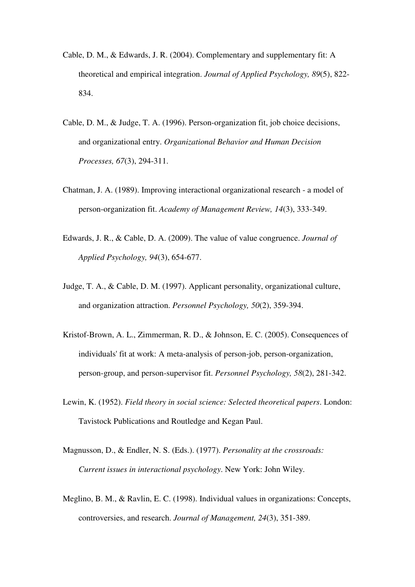- Cable, D. M., & Edwards, J. R. (2004). Complementary and supplementary fit: A theoretical and empirical integration. *Journal of Applied Psychology, 89*(5), 822- 834.
- Cable, D. M., & Judge, T. A. (1996). Person-organization fit, job choice decisions, and organizational entry. *Organizational Behavior and Human Decision Processes, 67*(3), 294-311.
- Chatman, J. A. (1989). Improving interactional organizational research a model of person-organization fit. *Academy of Management Review, 14*(3), 333-349.
- Edwards, J. R., & Cable, D. A. (2009). The value of value congruence. *Journal of Applied Psychology, 94*(3), 654-677.
- Judge, T. A., & Cable, D. M. (1997). Applicant personality, organizational culture, and organization attraction. *Personnel Psychology, 50*(2), 359-394.
- Kristof-Brown, A. L., Zimmerman, R. D., & Johnson, E. C. (2005). Consequences of individuals' fit at work: A meta-analysis of person-job, person-organization, person-group, and person-supervisor fit. *Personnel Psychology, 58*(2), 281-342.
- Lewin, K. (1952). *Field theory in social science: Selected theoretical papers*. London: Tavistock Publications and Routledge and Kegan Paul.
- Magnusson, D., & Endler, N. S. (Eds.). (1977). *Personality at the crossroads: Current issues in interactional psychology*. New York: John Wiley.
- Meglino, B. M., & Ravlin, E. C. (1998). Individual values in organizations: Concepts, controversies, and research. *Journal of Management, 24*(3), 351-389.